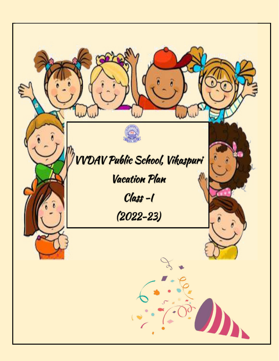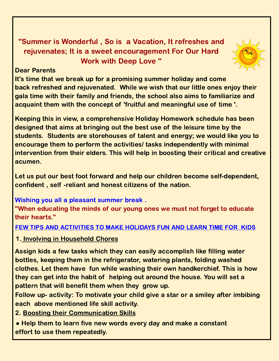#### "Summer is Wonderful , So is a Vacation, It refreshes and rejuvenates; It is a sweet encouragement For Our Hard Work with Deep Love "



#### Dear Parents

It's time that we break up for a promising summer holiday and come back refreshed and rejuvenated. While we wish that our little ones enjoy their gala time with their family and friends, the school also aims to familiarize and acquaint them with the concept of 'fruitful and meaningful use of time '.

Keeping this in view, a comprehensive Holiday Homework schedule has been designed that aims at bringing out the best use of the leisure time by the students. Students are storehouses of talent and energy; we would like you to encourage them to perform the activities/ tasks independently with minimal intervention from their elders. This will help in boosting their critical and creative acumen.

Let us put our best foot forward and help our children become self-dependent, confident , self -reliant and honest citizens of the nation.

Wishing you all a pleasant summer break .

"When educating the minds of our young ones we must not forget to educate their hearts."

#### FEW TIPS AND ACTIVITIES TO MAKE HOLIDAYS FUN AND LEARN TIME FOR KIDS

1. Involving in Household Chores

Assign kids a few tasks which they can easily accomplish like filling water bottles, keeping them in the refrigerator, watering plants, folding washed clothes. Let them have fun while washing their own handkerchief. This is how they can get into the habit of helping out around the house. You will set a pattern that will benefit them when they grow up.

Follow up- activity: To motivate your child give a star or a smiley after imbibing each above mentioned life skill activity.

2. Boosting their Communication Skills

• Help them to learn five new words every day and make a constant effort to use them repeatedly.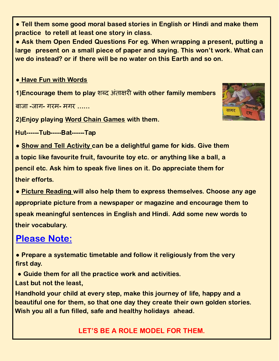● Tell them some good moral based stories in English or Hindi and make them practice to retell at least one story in class.

• Ask them Open Ended Questions For eg. When wrapping a present, putting a large present on a small piece of paper and saying. This won't work. What can we do instead? or if there will be no water on this Earth and so on.

**• Have Fun with Words** 

1)Encourage them to play शब्द अंताक्षरी with other family members

बाजा -जाग- गरम- मगर ……



2)Enjoy playing Word Chain Games with them.

Hut------Tub-----Bat------Tap

• Show and Tell Activity can be a delightful game for kids. Give them a topic like favourite fruit, favourite toy etc. or anything like a ball, a pencil etc. Ask him to speak five lines on it. Do appreciate them for their efforts.

● Picture Reading will also help them to express themselves. Choose any age appropriate picture from a newspaper or magazine and encourage them to speak meaningful sentences in English and Hindi. Add some new words to their vocabulary.

# Please Note:

● Prepare a systematic timetable and follow it religiously from the very first day.

- Guide them for all the practice work and activities.
- Last but not the least,

Handhold your child at every step, make this journey of life, happy and a beautiful one for them, so that one day they create their own golden stories. Wish you all a fun filled, safe and healthy holidays ahead.

LET'S BE A ROLE MODEL FOR THEM.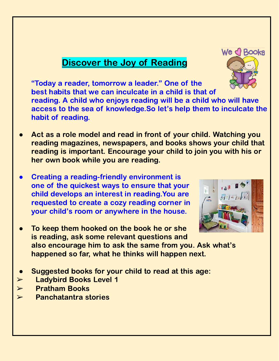## Discover the Joy of Reading

"Today a reader, tomorrow a leader." One of the best habits that we can inculcate in a child is that of reading. A child who enjoys reading will be a child who will have access to the sea of knowledge.So let's help them to inculcate the habit of reading.

- Act as a role model and read in front of your child. Watching you reading magazines, newspapers, and books shows your child that reading is important. Encourage your child to join you with his or her own book while you are reading.
- Creating a reading-friendly environment is one of the quickest ways to ensure that your child develops an interest in reading.You are requested to create a cozy reading corner in your child's room or anywhere in the house.
- To keep them hooked on the book he or she is reading, ask some relevant questions and also encourage him to ask the same from you. Ask what's happened so far, what he thinks will happen next.
- Suggested books for your child to read at this age:
- ➢ Ladybird Books Level 1
- ➢ Pratham Books
- $\triangleright$  Panchatantra stories



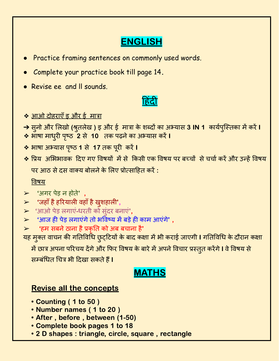# **ENGLISH**

- **Practice framing sentences on commonly used words.**
- Complete your practice book till page 14**.**
- Revise ee and II sounds.

# <u>हिदी</u>

#### ❖ आओ दोहराएँइ और ई मात्रा

- → सुनो और लिखो (श्रुतलेख ) इ और ई मात्रा के शब्दों का अभ्यास 3 IN 1 कार्यपुस्तिका में करें I
- ❖ भाषा माधुरी पृष्ठ 2 से 10 तक पढ़ने का अभ्यास करें l
- ◆ भाषा अभ्यास पृष्ठ 1 से 17 तक पूरी करें ।
- <u>❖ प्रिय अभिभावक दिए गए विषयों में से किसी एक विषय पर बच्चों से चर्चा करें और उन्हें विषय</u> पर आठ से दस वाक्य बोलने के लिए प्रोत्साहित करें <mark>:</mark>

#### विषय

- $>$  'अगर पेड़ न होते'
- $\triangleright$  'जहाँ है हरियाली वहाँ है खुशहाली',
- $\blacktriangleright$  'आओ पेड़ लगाएं-धरती को सुंदर बनाएं',
- $>$  'आज ही पेड़ लगाएंगे तो भविष्य में बड़े ही काम आएंगे' ,
- $\triangleright$  'हम सबने ठाना है प्रकृति को अब बचाना है'

यह मुक्त वाचन की गतिविधि छुट्टियों के बाद कक्षा में भी कराई जाएगी **।** गतिविधि के दौरान कक्षा

में छात्र अपना परिचय देंगे और फिर विषय के बारे में अपने विचार प्रस्तुत करेंगे **I** वे विषय से सम्बंधित चित्र भी दिखा सकते हैं **I** 

### MATHS

#### Revise all the concepts

- Counting ( 1 to 50 )
- Number names ( 1 to 20 )
- After , before , between (1-50)
- Complete book pages 1 to 18
- 2 D shapes : triangle, circle, square , rectangle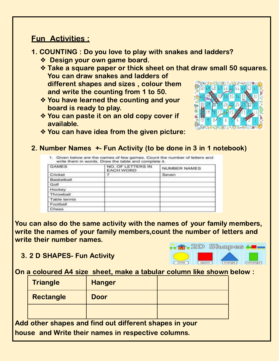#### Fun Activities :

- 1. COUNTING : Do you love to play with snakes and ladders?
	- ❖ Design your own game board.
	- ❖ Take a square paper or thick sheet on that draw small 50 squares. You can draw snakes and ladders of different shapes and sizes , colour them and write the counting from 1 to 50.
	- ❖ You have learned the counting and your board is ready to play.
	- ❖ You can paste it on an old copy cover if available.



❖ You can have idea from the given picture:

#### 2. Number Names +- Fun Activity (to be done in 3 in 1 notebook)

| <b>GAMES</b> | NO. OF LETTERS IN<br><b>EACH WORD</b> | NUMBER NAMES |
|--------------|---------------------------------------|--------------|
| Cricket      |                                       | Seven        |
| Basketball   |                                       |              |
| Golf         |                                       |              |
| Hockey       |                                       |              |
| Throwball    |                                       |              |
| Table tennis |                                       |              |
| Football     |                                       |              |
| Chess        |                                       |              |

You can also do the same activity with the names of your family members, write the names of your family members,count the number of letters and write their number names.

3. 2 D SHAPES- Fun Activity



On a coloured A4 size sheet, make a tabular column like shown below :

| <b>Triangle</b>  | <b>Hanger</b>                                        |  |
|------------------|------------------------------------------------------|--|
| <b>Rectangle</b> | <b>Door</b>                                          |  |
|                  |                                                      |  |
|                  | d other shange and find out different shange in veur |  |

Add other shapes and find out different shapes in your house and Write their names in respective columns.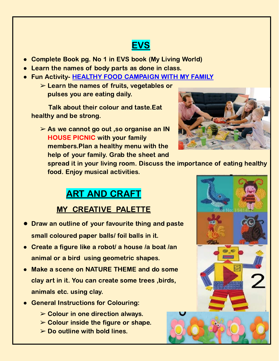# **EVS**

- **Complete Book pg. No 1 in EVS book (My Living World)**
- **●** Learn the names of body parts as done in class.
- **●** Fun Activity- HEALTHY FOOD CAMPAIGN WITH MY FAMILY
	- $\triangleright$  Learn the names of fruits, vegetables or pulses you are eating daily.

Talk about their colour and taste.Eat healthy and be strong.

➢ As we cannot go out ,so organise an IN HOUSE PICNIC with your family members.Plan a healthy menu with the help of your family. Grab the sheet and



 $\bullet$ .

spread it in your living room. Discuss the importance of eating healthy food. Enjoy musical activities.

# ART AND CRAFT

### MY CREATIVE PALETTE

- **●** Draw an outline of your favourite thing and paste small coloured paper balls/ foil balls in it.
- Create a figure like a robot/ a house /a boat /an animal or a bird using geometric shapes.
- Make a scene on NATURE THEME and do some clay art in it. You can create some trees ,birds, animals etc. using clay.
- **General Instructions for Colouring:** 
	- $\triangleright$  Colour in one direction always.
	- $\triangleright$  Colour inside the figure or shape.
	- $\triangleright$  Do outline with bold lines.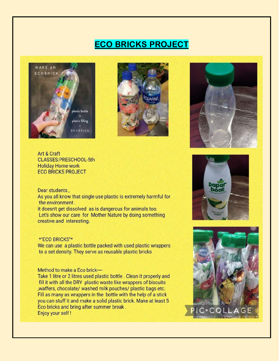### **ECO BRICKS PROJECT**







Art & Craft CLASSES:PRESCHOOL-5th **Holiday Home work ECO BRICKS PROJECT** 

#### Dear students,

As you all know that single use plastic is extremely harmful for the environment.

it doesn't get dissolved as is dangerous for animals too. Let's show our care for Mother Nature by doing something creative and interesting.

#### **\*"ECO BRICKS"\***

We can use a plastic bottle packed with used plastic wrappers to a set density. They serve as reusable plastic bricks

#### Method to make a Eco brick---

Take 1 litre or 2 litres used plastic bottle. Clean it properly and fill it with all the DRY plastic waste like wrappers of biscuits , waffers, chocolate/ washed milk pouches/ plastic bags etc. Fill as many as wrappers in the bottle with the help of a stick you can stuff it and make a solid plastic brick. Make at least 5 Eco bricks and bring after summer break. Enjoy your self!



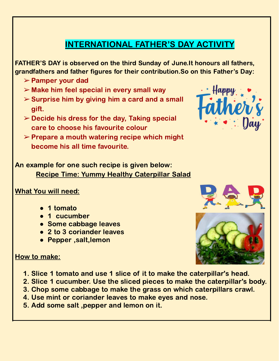# INTERNATIONAL FATHER'S DAY ACTIVITY

FATHER'S DAY is observed on the third Sunday of June.It honours all fathers, grandfathers and father figures for their contribution.So on this Father's Day:

- ➢ Pamper your dad
- $\triangleright$  Make him feel special in every small way
- $\triangleright$  Surprise him by giving him a card and a small gift.
- $\triangleright$  Decide his dress for the day, Taking special care to choose his favourite colour
- $\triangleright$  Prepare a mouth watering recipe which might become his all time favourite.

An example for one such recipe is given below: Recipe Time: Yummy Healthy Caterpillar Salad

#### What You will need:

- 1 tomato
- 1 cucumber
- Some cabbage leaves
- 2 to 3 coriander leaves
- Pepper ,salt,lemon



#### How to make:

- 1. Slice 1 tomato and use 1 slice of it to make the caterpillar's head.
- 2. Slice 1 cucumber. Use the sliced pieces to make the caterpillar's body.
- 3. Chop some cabbage to make the grass on which caterpillars crawl.
- 4. Use mint or coriander leaves to make eyes and nose.
- 5. Add some salt ,pepper and lemon on it.

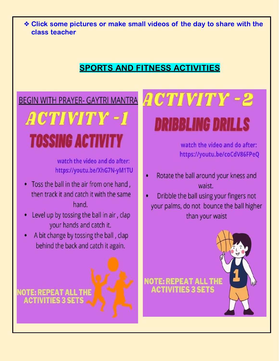\* Click some pictures or make small videos of the day to share with the class teacher

## **SPORTS AND FITNESS ACTIVITIES**

## **BEGIN WITH PRAYER- GAYTRI MANTRA**

# ACTIVITY - 1 **TOSSING ACTIVITY**

watch the video and do after: https://youtu.be/XhG7N-yM1TU

- Toss the ball in the air from one hand, then track it and catch it with the same hand
- Level up by tossing the ball in air, clap your hands and catch it.
- A bit change by tossing the ball, clap behind the back and catch it again.

NOTE: REPEAT ALL

# ACTIVITY -2 **DRIBBLING DRILLS**

watch the video and do after: https://youtu.be/coCdV86FPeQ

- Rotate the ball around your kness and waist.
- Dribble the ball using your fingers not your palms, do not bounce the ball higher than your waist

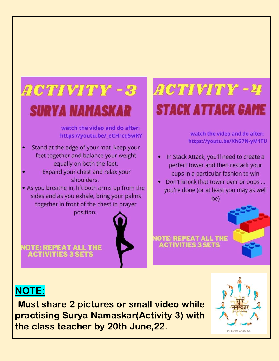

NOTE: REPEAT ALL THE **ACTIVITIES 3 SETS** 

# ACTIVITY - 24 **STACK ATTACK GAME**

watch the video and do after: https://youtu.be/XhG7N-yM1TU

- In Stack Attack, you'll need to create a perfect tower and then restack your cups in a particular fashion to win
- Don't knock that tower over or oops ... you're done (or at least you may as well be)

**NOTE: REPEAT ALL THE CTIVITIES 3** 

# NOTE:

Must share 2 pictures or small video while practising Surya Namaskar(Activity 3) with the class teacher by 20th June,22.